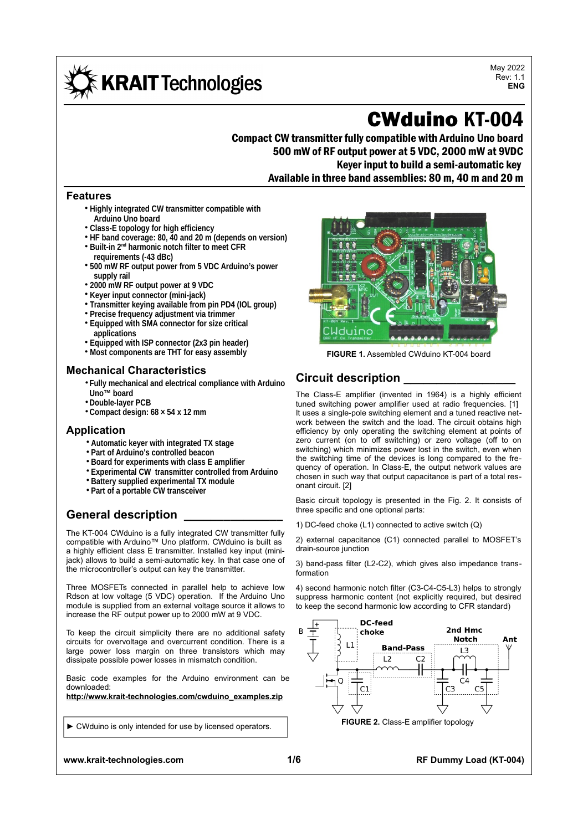**KRAIT** Technologies

May 2022 Rev: 1.1 **ENG**

# CWduino KT-004

Compact CW transmitter fully compatible with Arduino Uno board 500 mW of RF output power at 5 VDC, 2000 mW at 9VDC Keyer input to build a semi-automatic key Available in three band assemblies: 80 m, 40 m and 20 m

### **Features**

- **Highly integrated CW transmitter compatible with Arduino Uno board**
- **Class-E topology for high efficiency**
- **HF band coverage: 80, 40 and 20 m (depends on version)**
- **Built-in 2nd harmonic notch filter to meet CFR requirements (-43 dBc)**
- **500 mW RF output power from 5 VDC Arduino's power supply rail**
- **2000 mW RF output power at 9 VDC**
- **Keyer input connector (mini-jack)**
- **Transmitter keying available from pin PD4 (IOL group)**
- **Precise frequency adjustment via trimmer**
- **Equipped with SMA connector for size critical applications**
- **Equipped with ISP connector (2x3 pin header)**
- **Most components are THT for easy assembly**

### **Mechanical Characteristics**

- •**Fully mechanical and electrical compliance with Arduino Uno™ board**
- •**Double-layer PCB**
- •**Compact design: 68 × 54 x 12 mm**

### **Application**

- **Automatic keyer with integrated TX stage**
- **Part of Arduino's controlled beacon**
- **Board for experiments with class E amplifier**
- **Experimental CW transmitter controlled from Arduino**
- **Battery supplied experimental TX module**
- **Part of a portable CW transceiver**

### **General description \_\_\_\_\_\_\_\_\_\_\_\_\_\_\_**

The KT-004 CWduino is a fully integrated CW transmitter fully compatible with Arduino™ Uno platform. CWduino is built as a highly efficient class E transmitter. Installed key input (minijack) allows to build a semi-automatic key. In that case one of the microcontroller's output can key the transmitter.

Three MOSFETs connected in parallel help to achieve low Rdson at low voltage (5 VDC) operation. If the Arduino Uno module is supplied from an external voltage source it allows to increase the RF output power up to 2000 mW at 9 VDC.

To keep the circuit simplicity there are no additional safety circuits for overvoltage and overcurrent condition. There is a large power loss margin on three transistors which may dissipate possible power losses in mismatch condition.

Basic code examples for the Arduino environment can be downloaded:

**http://www.krait-technologies.com/cwduino\_examples.zip**

► CWduino is only intended for use by licensed operators.



**FIGURE 1.** Assembled CWduino KT-004 board

### **Circuit description \_\_\_\_\_\_\_\_\_\_\_\_\_\_\_\_\_**

The Class-E amplifier (invented in 1964) is a highly efficient tuned switching power amplifier used at radio frequencies. [1] It uses a single-pole switching element and a tuned reactive network between the switch and the load. The circuit obtains high efficiency by only operating the switching element at points of zero current (on to off switching) or zero voltage (off to on switching) which minimizes power lost in the switch, even when the switching time of the devices is long compared to the frequency of operation. In Class-E, the output network values are chosen in such way that output capacitance is part of a total resonant circuit. [2]

Basic circuit topology is presented in the Fig. 2. It consists of three specific and one optional parts:

1) DC-feed choke (L1) connected to active switch (Q)

2) external capacitance (C1) connected parallel to MOSFET's drain-source junction

3) band-pass filter (L2-C2), which gives also impedance transformation

4) second harmonic notch filter (C3-C4-C5-L3) helps to strongly suppress harmonic content (not explicitly required, but desired to keep the second harmonic low according to CFR standard)

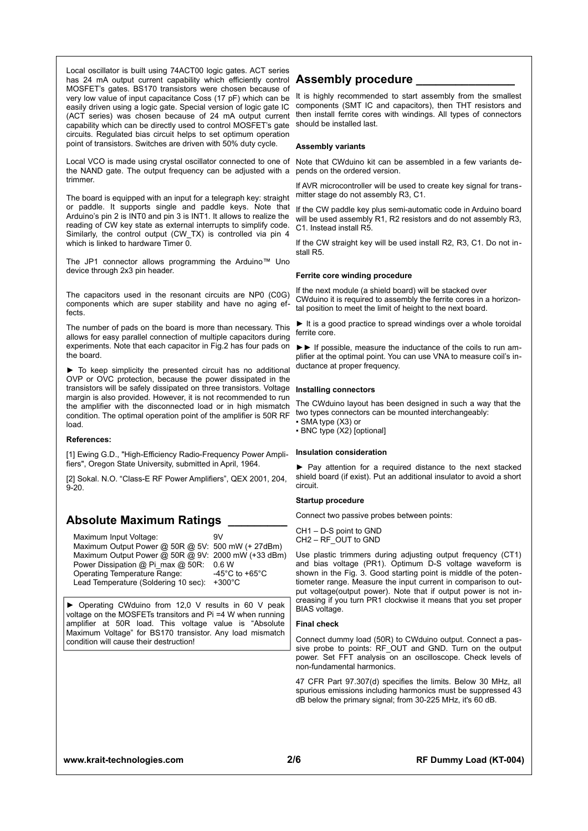Local oscillator is built using 74ACT00 logic gates. ACT series has 24 mA output current capability which efficiently control MOSFET's gates. BS170 transistors were chosen because of easily driven using a logic gate. Special version of logic gate IC (ACT series) was chosen because of 24 mA output current capability which can be directly used to control MOSFET's gate circuits. Regulated bias circuit helps to set optimum operation point of transistors. Switches are driven with 50% duty cycle.

the NAND gate. The output frequency can be adjusted with a trimmer.

The board is equipped with an input for a telegraph key: straight or paddle. It supports single and paddle keys. Note that Arduino's pin 2 is INT0 and pin 3 is INT1. It allows to realize the reading of CW key state as external interrupts to simplify code. Similarly, the control output (CW\_TX) is controlled via pin 4 which is linked to hardware Timer 0.

The JP1 connector allows programming the Arduino™ Uno device through 2x3 pin header.

The capacitors used in the resonant circuits are NP0 (C0G) components which are super stability and have no aging effects.

The number of pads on the board is more than necessary. This allows for easy parallel connection of multiple capacitors during experiments. Note that each capacitor in Fig.2 has four pads on the board.

To keep simplicity the presented circuit has no additional OVP or OVC protection, because the power dissipated in the transistors will be safely dissipated on three transistors. Voltage margin is also provided. However, it is not recommended to run the amplifier with the disconnected load or in high mismatch condition. The optimal operation point of the amplifier is 50R RF load.

#### **References:**

[1] Ewing G.D., "High-Efficiency Radio-Frequency Power Amplifiers", Oregon State University, submitted in April, 1964.

[2] Sokal. N.O. "Class-E RF Power Amplifiers", QEX 2001, 204, 9-20.

### **Absolute Maximum Ratings \_\_\_\_\_\_\_\_\_**

| 9V                                                 |
|----------------------------------------------------|
| Maximum Output Power @ 50R @ 5V: 500 mW (+ 27dBm)  |
| Maximum Output Power @ 50R @ 9V: 2000 mW (+33 dBm) |
| 0.6 W                                              |
| -45 $^{\circ}$ C to +65 $^{\circ}$ C               |
| Lead Temperature (Soldering 10 sec): +300°C        |
|                                                    |

► Operating CWduino from 12,0 V results in 60 V peak voltage on the MOSFETs transitors and Pi =4 W when running amplifier at 50R load. This voltage value is "Absolute Maximum Voltage" for BS170 transistor. Any load mismatch condition will cause their destruction!

### **Assembly procedure \_\_\_\_\_\_\_\_\_\_\_\_\_\_\_**

very low value of input capacitance Coss (17 pF) which can be It is highly recommended to start assembly from the smallest components (SMT IC and capacitors), then THT resistors and then install ferrite cores with windings. All types of connectors should be installed last.

#### **Assembly variants**

Local VCO is made using crystal oscillator connected to one of Note that CWduino kit can be assembled in a few variants depends on the ordered version.

> If AVR microcontroller will be used to create key signal for transmitter stage do not assembly R3, C1.

> If the CW paddle key plus semi-automatic code in Arduino board will be used assembly R1, R2 resistors and do not assembly R3, C1. Instead install R5.

> If the CW straight key will be used install R2, R3, C1. Do not install R5.

#### **Ferrite core winding procedure**

If the next module (a shield board) will be stacked over CWduino it is required to assembly the ferrite cores in a horizontal position to meet the limit of height to the next board.

► It is a good practice to spread windings over a whole toroidal ferrite core.

►► If possible, measure the inductance of the coils to run amplifier at the optimal point. You can use VNA to measure coil's inductance at proper frequency.

#### **Installing connectors**

The CWduino layout has been designed in such a way that the two types connectors can be mounted interchangeably:

▪ SMA type (X3) or

▪ BNC type (X2) [optional]

#### **Insulation consideration**

► Pay attention for a required distance to the next stacked shield board (if exist). Put an additional insulator to avoid a short circuit.

#### **Startup procedure**

Connect two passive probes between points:

CH1 – D-S point to GND CH2 – RF\_OUT to GND

Use plastic trimmers during adjusting output frequency (CT1) and bias voltage (PR1). Optimum D-S voltage waveform is shown in the Fig. 3. Good starting point is middle of the potentiometer range. Measure the input current in comparison to output voltage(output power). Note that if output power is not increasing if you turn PR1 clockwise it means that you set proper BIAS voltage.

#### **Final check**

Connect dummy load (50R) to CWduino output. Connect a passive probe to points: RF\_OUT and GND. Turn on the output power. Set FFT analysis on an oscilloscope. Check levels of non-fundamental harmonics.

47 CFR Part 97.307(d) specifies the limits. Below 30 MHz, all spurious emissions including harmonics must be suppressed 43 dB below the primary signal; from 30-225 MHz, it's 60 dB.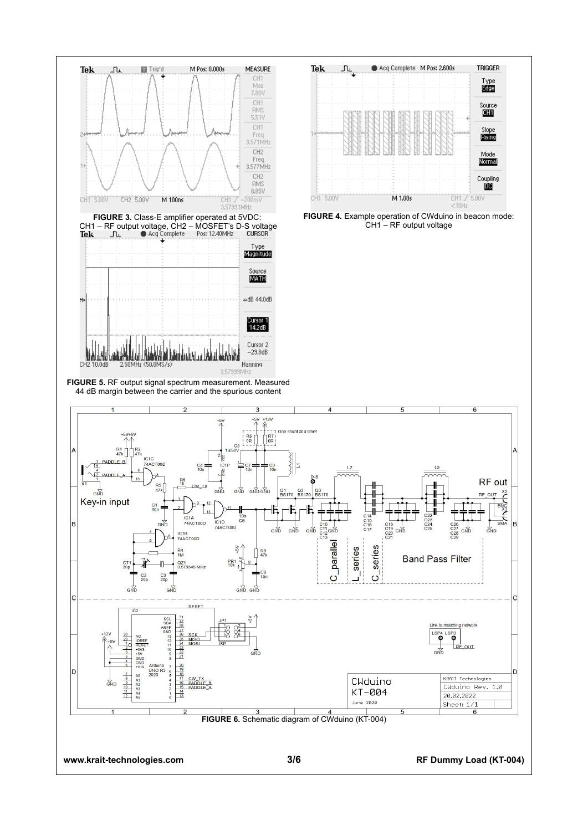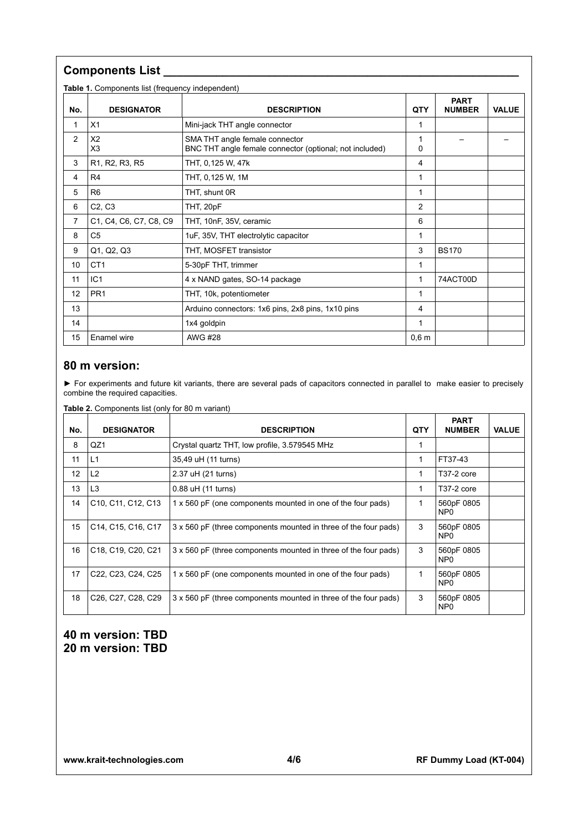|                | Table 1. Components list (frequency independent) |                                                                                           |                |                              |              |
|----------------|--------------------------------------------------|-------------------------------------------------------------------------------------------|----------------|------------------------------|--------------|
| No.            | <b>DESIGNATOR</b>                                | <b>DESCRIPTION</b>                                                                        | QTY            | <b>PART</b><br><b>NUMBER</b> | <b>VALUE</b> |
| 1              | X1                                               | Mini-jack THT angle connector                                                             | 1              |                              |              |
| $\overline{2}$ | X <sub>2</sub><br>X3                             | SMA THT angle female connector<br>BNC THT angle female connector (optional; not included) | 1<br>0         |                              |              |
| 3              | R1, R2, R3, R5                                   | THT, 0,125 W, 47k                                                                         | 4              |                              |              |
| 4              | R <sub>4</sub>                                   | THT, 0,125 W, 1M                                                                          | 1              |                              |              |
| 5              | R <sub>6</sub>                                   | THT, shunt 0R                                                                             | $\mathbf{1}$   |                              |              |
| 6              | C <sub>2</sub> , C <sub>3</sub>                  | THT, 20pF                                                                                 | $\overline{2}$ |                              |              |
| 7              | C1, C4, C6, C7, C8, C9                           | THT, 10nF, 35V, ceramic                                                                   | 6              |                              |              |
| 8              | C <sub>5</sub>                                   | 1uF, 35V, THT electrolytic capacitor                                                      | 1              |                              |              |
| 9              | Q1, Q2, Q3                                       | THT, MOSFET transistor                                                                    | 3              | <b>BS170</b>                 |              |
| 10             | CT <sub>1</sub>                                  | 5-30pF THT, trimmer                                                                       | 1              |                              |              |
| 11             | IC <sub>1</sub>                                  | 4 x NAND gates, SO-14 package                                                             | 1              | 74ACT00D                     |              |
| 12             | PR <sub>1</sub>                                  | THT, 10k, potentiometer                                                                   | 1              |                              |              |
| 13             |                                                  | Arduino connectors: 1x6 pins, 2x8 pins, 1x10 pins                                         | 4              |                              |              |
| 14             |                                                  | 1x4 goldpin                                                                               | 1              |                              |              |
| 15             | Enamel wire                                      | <b>AWG #28</b>                                                                            | 0,6m           |                              |              |

# **80 m version:**

► For experiments and future kit variants, there are several pads of capacitors connected in parallel to make easier to precisely combine the required capacities.

**Table 2.** Components list (only for 80 m variant)

| No. | <b>DESIGNATOR</b>                                                     | <b>DESCRIPTION</b>                                              | QTY | <b>PART</b><br><b>NUMBER</b>  | <b>VALUE</b> |
|-----|-----------------------------------------------------------------------|-----------------------------------------------------------------|-----|-------------------------------|--------------|
| 8   | QZ1                                                                   | Crystal quartz THT, low profile, 3.579545 MHz                   |     |                               |              |
| 11  | L <sub>1</sub>                                                        | 35,49 uH (11 turns)                                             | 1   | FT37-43                       |              |
| 12  | L2                                                                    | 2.37 uH (21 turns)                                              | 1   | T37-2 core                    |              |
| 13  | L <sub>3</sub>                                                        | 0.88 uH (11 turns)                                              | 1   | T <sub>37</sub> -2 core       |              |
| 14  | C <sub>10</sub> , C <sub>11</sub> , C <sub>12</sub> , C <sub>13</sub> | 1 x 560 pF (one components mounted in one of the four pads)     | 1   | 560pF 0805<br>NP <sub>0</sub> |              |
| 15  | C <sub>14</sub> , C <sub>15</sub> , C <sub>16</sub> , C <sub>17</sub> | 3 x 560 pF (three components mounted in three of the four pads) | 3   | 560pF 0805<br>NP <sub>0</sub> |              |
| 16  | C <sub>18</sub> , C <sub>19</sub> , C <sub>20</sub> , C <sub>21</sub> | 3 x 560 pF (three components mounted in three of the four pads) | 3   | 560pF 0805<br>NP <sub>0</sub> |              |
| 17  | C <sub>22</sub> , C <sub>23</sub> , C <sub>24</sub> , C <sub>25</sub> | 1 x 560 pF (one components mounted in one of the four pads)     | 1   | 560pF 0805<br>NP <sub>0</sub> |              |
| 18  | C <sub>26</sub> , C <sub>27</sub> , C <sub>28</sub> , C <sub>29</sub> | 3 x 560 pF (three components mounted in three of the four pads) | 3   | 560pF 0805<br>NP <sub>0</sub> |              |

# **40 m version: TBD 20 m version: TBD**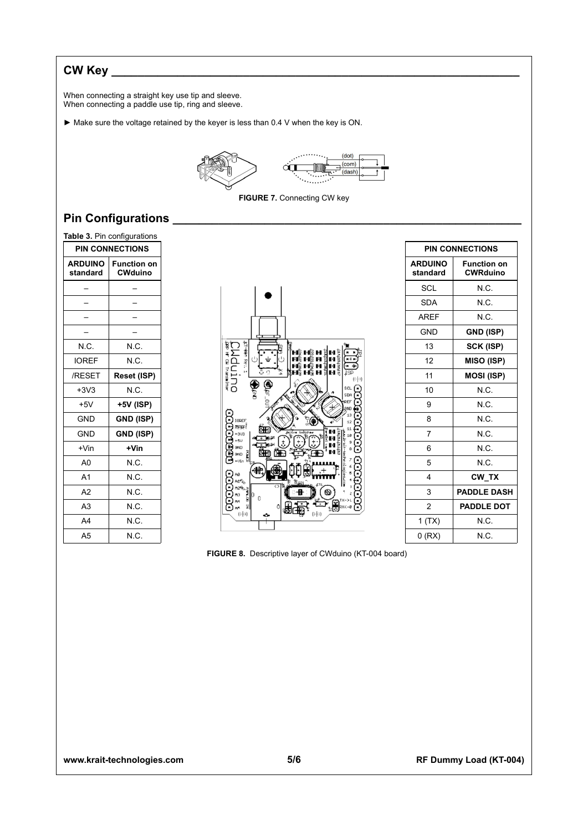# **CW Key \_\_\_\_\_\_\_\_\_\_\_\_\_\_\_\_\_\_\_\_\_\_\_\_\_\_\_\_\_\_\_\_\_\_\_\_\_\_\_\_\_\_\_\_\_\_\_\_\_\_\_\_\_\_\_\_\_\_\_\_\_\_**

When connecting a straight key use tip and sleeve. When connecting a paddle use tip, ring and sleeve.

► Make sure the voltage retained by the keyer is less than 0.4 V when the key is ON.



**FIGURE 7. Connecting CW key** 

# **Pin Configurations \_\_\_\_\_\_\_\_\_\_\_\_\_\_\_\_\_\_\_\_\_\_\_\_\_\_\_\_\_\_\_\_\_\_\_\_\_\_\_\_\_\_\_\_\_\_\_\_\_\_\_\_\_**

| <b>PIN CONNECTIONS</b>     |                                      |  |  |
|----------------------------|--------------------------------------|--|--|
| <b>ARDUINO</b><br>standard | <b>Function on</b><br><b>CWduino</b> |  |  |
|                            |                                      |  |  |
|                            |                                      |  |  |
|                            |                                      |  |  |
|                            |                                      |  |  |
| N.C.                       | N.C.                                 |  |  |
| <b>IOREF</b>               | N.C.                                 |  |  |
| /RESET                     | Reset (ISP)                          |  |  |
| $+3V3$                     | N.C.                                 |  |  |
| $+5V$                      | +5V (ISP)                            |  |  |
| <b>GND</b>                 | GND (ISP)                            |  |  |
| <b>GND</b>                 | GND (ISP)                            |  |  |
| $+V$ in                    | +Vin                                 |  |  |
| A <sub>0</sub>             | N.C.                                 |  |  |
| A <sub>1</sub>             | N.C.                                 |  |  |
| A <sub>2</sub>             | N.C.                                 |  |  |
|                            |                                      |  |  |
| A <sub>3</sub>             | N.C.                                 |  |  |
| A4                         | N.C.                                 |  |  |



| <b>PIN CONNECTIONS</b>     |                                       |  |
|----------------------------|---------------------------------------|--|
| <b>ARDUINO</b><br>standard | <b>Function on</b><br><b>CWRduino</b> |  |
| SCL                        | N.C.                                  |  |
| <b>SDA</b>                 | N.C.                                  |  |
| <b>AREF</b>                | N.C.                                  |  |
| <b>GND</b>                 | GND (ISP)                             |  |
| 13                         | SCK (ISP)                             |  |
| 12                         | <b>MISO (ISP)</b>                     |  |
| 11                         | <b>MOSI (ISP)</b>                     |  |
| 10                         | N.C.                                  |  |
| 9                          | N C.                                  |  |
| 8                          | N.C.                                  |  |
| 7                          | N.C.                                  |  |
| 6                          | N.C.                                  |  |
| 5                          | N.C.                                  |  |
| 4                          | CW_TX                                 |  |
| 3                          | <b>PADDLE DASH</b>                    |  |
| $\mathfrak{p}$             | <b>PADDLE DOT</b>                     |  |
| 1(TX)                      | N.C.                                  |  |
| $0$ (RX)                   | N C.                                  |  |

**FIGURE 8.** Descriptive layer of CWduino (KT-004 board)